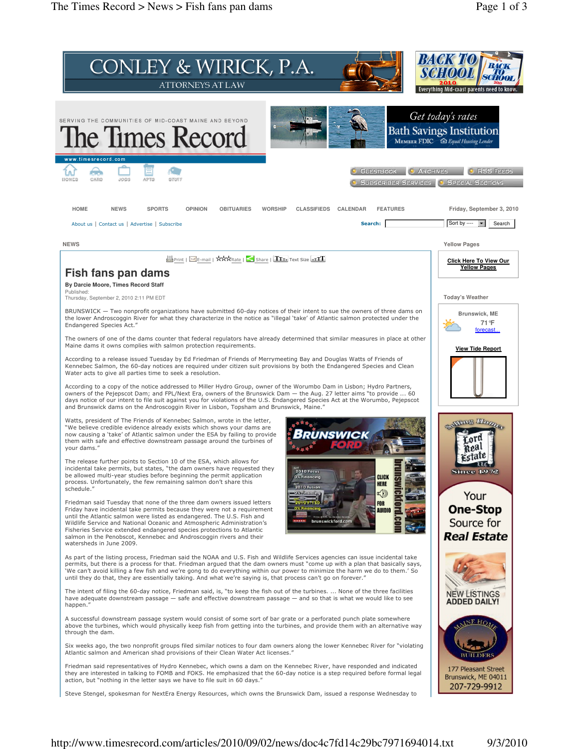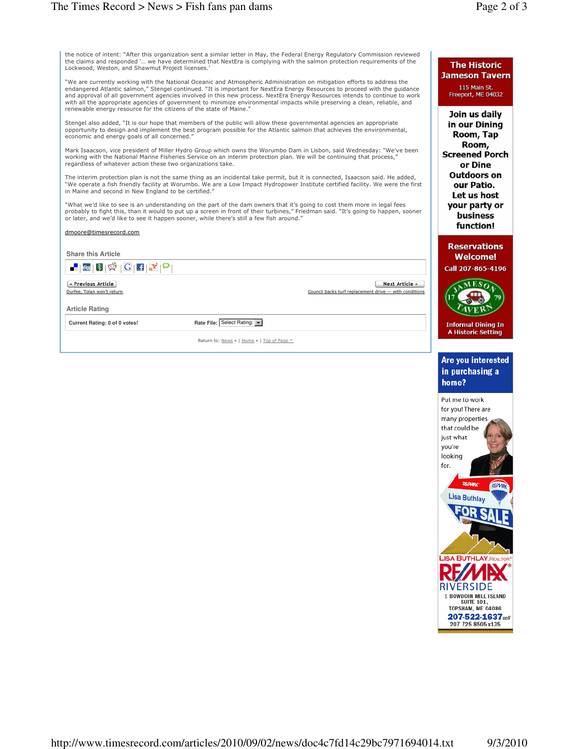| the notice of intent: "After this organization sent a similar letter in May, the Federal Energy Regulatory Commission reviewed |
|--------------------------------------------------------------------------------------------------------------------------------|
| the claims and responded ` we have determined that NextEra is complying with the salmon protection requirements of the         |
| Lockwood, Weston, and Shawmut Proiect licenses.'                                                                               |
|                                                                                                                                |

"We are currently working with the National Oceanic and Atmospheric Administration on mitigation efforts to address the<br>endangered Atlantic salmon," Stengel continued. "It is important for NextEra Energy Resources to proce and approval of all government agencies involved in this new process. NextEra Energy Resources intends to continue to work with all the appropriate agencies of government to minimize environmental impacts while preserving a clean, reliable, and renewable energy resource for the citizens of the state of Maine."

Stengel also added, "It is our hope that members of the public will allow these governmental agencies an appropriate opportunity to design and implement the best program possible for the Atlantic salmon that achieves the environmental, economic and energy goals of all concerned."

Mark Isaacson, vice president of Miller Hydro Group which owns the Worumbo Dam in Lisbon, said Wednesday: "We've been working with the National Marine Fisheries Service on an interim protection plan. We will be continuing that process, regardless of whatever action these two organizations take.

The interim protection plan is not the same thing as an incidental take permit, but it is connected, Isaacson said. He added, "We operate a fish friendly facility at Worumbo. We are a Low Impact Hydropower Institute certified facility. We were the first in Maine and second in New England to be certified."

"What we'd like to see is an understanding on the part of the dam owners that it's going to cost them more in legal fees<br>probably to fight this, than it would to put up a screen in front of their turbines," Friedman said. or later, and we'd like to see it happen sooner, while there's still a few fish around."

## dmoore@timesrecord.com

|                             |                                                                          | Ca |
|-----------------------------|--------------------------------------------------------------------------|----|
|                             | Next Article »<br>Council backs turf replacement drive - with conditions |    |
|                             |                                                                          |    |
| Rate File: Select Rating: v |                                                                          | II |
|                             |                                                                          |    |

Return to: News « | Home « | Top of Page ^

## **The Historic Jameson Tavern**

115 Main St. Freeport, ME 04032

Join us daily in our Dining Room, Tap Room, **Screened Porch** or Dine Outdoors on our Patio. Let us host your party or business function!

**leservations Welcome!** 

Il 207-865-4196



formal Dining In **Historic Setting** 

## Are you interested in purchasing a home?